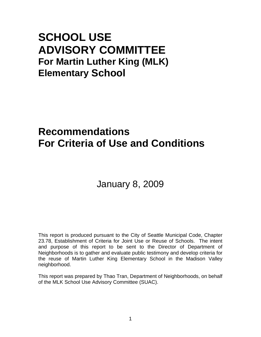# **SCHOOL USE ADVISORY COMMITTEE For Martin Luther King (MLK) Elementary School**

# **Recommendations For Criteria of Use and Conditions**

# January 8, 2009

This report is produced pursuant to the City of Seattle Municipal Code, Chapter 23.78, Establishment of Criteria for Joint Use or Reuse of Schools. The intent and purpose of this report to be sent to the Director of Department of Neighborhoods is to gather and evaluate public testimony and develop criteria for the reuse of Martin Luther King Elementary School in the Madison Valley neighborhood.

This report was prepared by Thao Tran, Department of Neighborhoods, on behalf of the MLK School Use Advisory Committee (SUAC).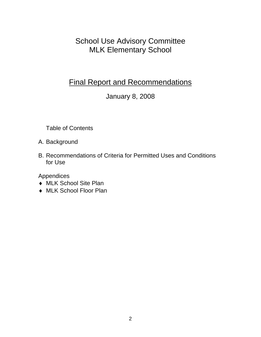School Use Advisory Committee MLK Elementary School

# Final Report and Recommendations

# January 8, 2008

Table of Contents

A. Background

B. Recommendations of Criteria for Permitted Uses and Conditions for Use

Appendices

- ♦ MLK School Site Plan
- ♦ MLK School Floor Plan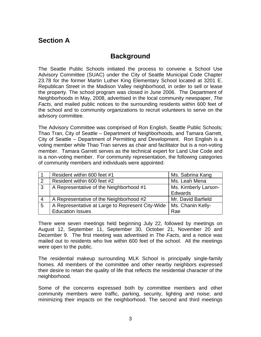# **Section A**

## **Background**

The Seattle Public Schools initiated the process to convene a School Use Advisory Committee (SUAC) under the City of Seattle Municipal Code Chapter 23.78 for the former Martin Luther King Elementary School located at 3201 E. Republican Street in the Madison Valley neighborhood, in order to sell or lease the property. The school program was closed in June 2006. The Department of Neighborhoods in May, 2008, advertised in the local community newspaper, *The Facts*, and mailed public notices to the surrounding residents within 600 feet of the school and to community organizations to recruit volunteers to serve on the advisory committee.

The Advisory Committee was comprised of Ron English, Seattle Public Schools; Thao Tran, City of Seattle – Department of Neighborhoods, and Tamara Garrett, City of Seattle – Department of Permitting and Development. Ron English is a voting member while Thao Tran serves as chair and facilitator but is a non-voting member. Tamara Garrett serves as the technical expert for Land Use Code and is a non-voting member. For community representation, the following categories of community members and individuals were appointed:

|                | Resident within 600 feet #1                      | Ms. Sabrina Kang     |
|----------------|--------------------------------------------------|----------------------|
| $\overline{2}$ | Resident within 600 feet #2                      | Ms. Leah Mena        |
| $\cdot$ 3      | A Representative of the Neighborhood #1          | Ms. Kimberly Larson- |
|                |                                                  | <b>Edwards</b>       |
|                | A Representative of the Neighborhood #2          | Mr. David Barfield   |
| -5             | A Representative at Large to Represent City-Wide | Ms. Chanin Kelly-    |
|                | <b>Education Issues</b>                          | Rae                  |

There were seven meetings held beginning July 22, followed by meetings on August 12, September 11, September 30, October 21, November 20 and December 9. The first meeting was advertised in *The Facts*, and a notice was mailed out to residents who live within 600 feet of the school. All the meetings were open to the public.

The residential makeup surrounding MLK School is principally single-family homes. All members of the committee and other nearby neighbors expressed their desire to retain the quality of life that reflects the residential character of the neighborhood.

Some of the concerns expressed both by committee members and other community members were traffic, parking, security, lighting and noise; and minimizing their impacts on the neighborhood. The second and third meetings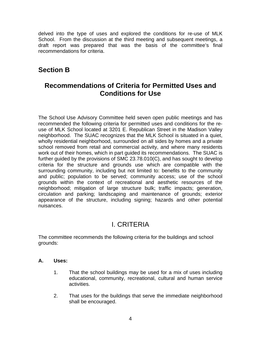delved into the type of uses and explored the conditions for re-use of MLK School. From the discussion at the third meeting and subsequent meetings, a draft report was prepared that was the basis of the committee's final recommendations for criteria.

## **Section B**

### **Recommendations of Criteria for Permitted Uses and Conditions for Use**

The School Use Advisory Committee held seven open public meetings and has recommended the following criteria for permitted uses and conditions for the reuse of MLK School located at 3201 E. Republican Street in the Madison Valley neighborhood. The SUAC recognizes that the MLK School is situated in a quiet, wholly residential neighborhood, surrounded on all sides by homes and a private school removed from retail and commercial activity, and where many residents work out of their homes, which in part guided its recommendations. The SUAC is further guided by the provisions of SMC 23.78.010(C), and has sought to develop criteria for the structure and grounds use which are compatible with the surrounding community, including but not limited to: benefits to the community and public; population to be served; community access; use of the school grounds within the context of recreational and aesthetic resources of the neighborhood; mitigation of large structure bulk; traffic impacts; generation, circulation and parking; landscaping and maintenance of grounds; exterior appearance of the structure, including signing; hazards and other potential nuisances.

### I. CRITERIA

The committee recommends the following criteria for the buildings and school grounds:

#### **A. Uses:**

- 1. That the school buildings may be used for a mix of uses including educational, community, recreational, cultural and human service activities.
- 2. That uses for the buildings that serve the immediate neighborhood shall be encouraged.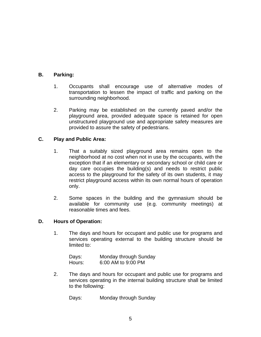#### **B. Parking:**

- 1. Occupants shall encourage use of alternative modes of transportation to lessen the impact of traffic and parking on the surrounding neighborhood.
- 2. Parking may be established on the currently paved and/or the playground area, provided adequate space is retained for open unstructured playground use and appropriate safety measures are provided to assure the safety of pedestrians.

#### **C. Play and Public Area:**

- 1. That a suitably sized playground area remains open to the neighborhood at no cost when not in use by the occupants, with the exception that if an elementary or secondary school or child care or day care occupies the building(s) and needs to restrict public access to the playground for the safety of its own students, it may restrict playground access within its own normal hours of operation only.
- 2. Some spaces in the building and the gymnasium should be available for community use (e.g. community meetings) at reasonable times and fees.

#### **D. Hours of Operation:**

1. The days and hours for occupant and public use for programs and services operating external to the building structure should be limited to:

| Days:  | Monday through Sunday |
|--------|-----------------------|
| Hours: | 6:00 AM to 9:00 PM    |

2. The days and hours for occupant and public use for programs and services operating in the internal building structure shall be limited to the following:

Days: Monday through Sunday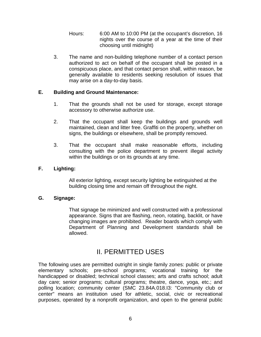- Hours: 6:00 AM to 10:00 PM (at the occupant's discretion, 16 nights over the course of a year at the time of their choosing until midnight)
- 3. The name and non-building telephone number of a contact person authorized to act on behalf of the occupant shall be posted in a conspicuous place, and that contact person shall, within reason, be generally available to residents seeking resolution of issues that may arise on a day-to-day basis.

#### **E. Building and Ground Maintenance:**

- 1. That the grounds shall not be used for storage, except storage accessory to otherwise authorize use.
- 2. That the occupant shall keep the buildings and grounds well maintained, clean and litter free. Graffiti on the property, whether on signs, the buildings or elsewhere, shall be promptly removed.
- 3. That the occupant shall make reasonable efforts, including consulting with the police department to prevent illegal activity within the buildings or on its grounds at any time.

#### **F. Lighting:**

 All exterior lighting, except security lighting be extinguished at the building closing time and remain off throughout the night.

#### **G. Signage:**

 That signage be minimized and well constructed with a professional appearance. Signs that are flashing, neon, rotating, backlit, or have changing images are prohibited. Reader boards which comply with Department of Planning and Development standards shall be allowed.

### II. PERMITTED USES

The following uses are permitted outright in single family zones: public or private elementary schools; pre-school programs; vocational training for the handicapped or disabled; technical school classes; arts and crafts school; adult day care; senior programs; cultural programs; theatre, dance, yoga, etc.; and polling location; community center (SMC 23.84A.018.I3: "Community club or center" means an institution used for athletic, social, civic or recreational purposes, operated by a nonprofit organization, and open to the general public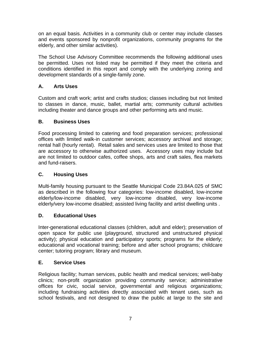on an equal basis. Activities in a community club or center may include classes and events sponsored by nonprofit organizations, community programs for the elderly, and other similar activities).

The School Use Advisory Committee recommends the following additional uses be permitted. Uses not listed may be permitted if they meet the criteria and conditions identified in this report and comply with the underlying zoning and development standards of a single-family zone.

#### **A. Arts Uses**

Custom and craft work; artist and crafts studios; classes including but not limited to classes in dance, music, ballet, martial arts; community cultural activities including theater and dance groups and other performing arts and music.

#### **B. Business Uses**

Food processing limited to catering and food preparation services; professional offices with limited walk-in customer services; accessory archival and storage; rental hall (hourly rental). Retail sales and services uses are limited to those that are accessory to otherwise authorized uses. Accessory uses may include but are not limited to outdoor cafes, coffee shops, arts and craft sales, flea markets and fund-raisers.

#### **C. Housing Uses**

Multi-family housing pursuant to the Seattle Municipal Code 23.84A.025 of SMC as described in the following four categories: low-income disabled, low-income elderly/low-income disabled, very low-income disabled, very low-income elderly/very low-income disabled; assisted living facility and artist dwelling units .

#### **D. Educational Uses**

Inter-generational educational classes (children, adult and elder); preservation of open space for public use (playground, structured and unstructured physical activity); physical education and participatory sports; programs for the elderly; educational and vocational training; before and after school programs; childcare center; tutoring program; library and museum.

#### **E. Service Uses**

Religious facility; human services, public health and medical services; well-baby clinics; non-profit organization providing community service; administrative offices for civic, social service, governmental and religious organizations; including fundraising activities directly associated with tenant uses, such as school festivals, and not designed to draw the public at large to the site and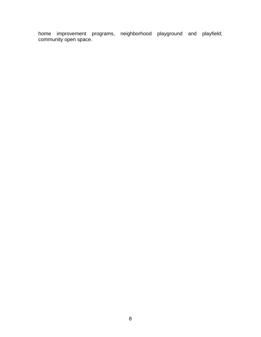home improvement programs, neighborhood playground and playfield; community open space.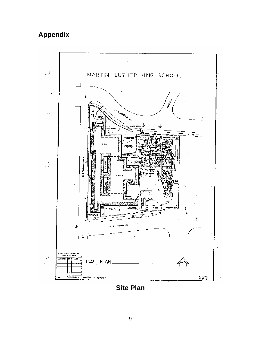# **Appendix**



**Site Plan**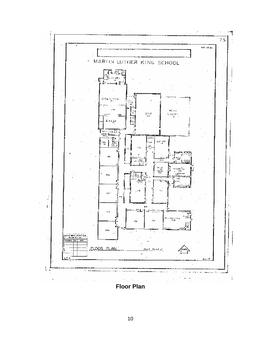

**Floor Plan**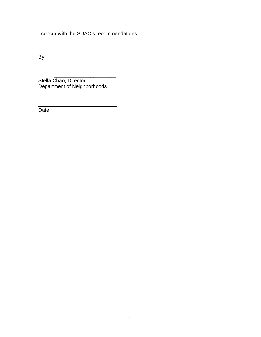I concur with the SUAC's recommendations.

By:

 \_\_\_\_\_\_\_\_\_\_\_\_\_\_\_\_\_\_\_\_\_\_ Stella Chao, Director Department of Neighborhoods

 \_\_\_\_\_\_\_\_\_\_\_\_\_\_\_\_\_ **Date**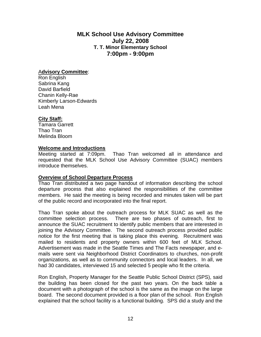#### **MLK School Use Advisory Committee July 22, 2008 T. T. Minor Elementary School 7:00pm - 9:00pm**

#### A**dvisory Committee**:

Ron English Sabrina Kang David Barfield Chanin Kelly-Rae Kimberly Larson-Edwards Leah Mena

#### **City Staff:**

Tamara Garrett Thao Tran Melinda Bloom

#### **Welcome and Introductions**

Meeting started at 7:09pm. Thao Tran welcomed all in attendance and requested that the MLK School Use Advisory Committee (SUAC) members introduce themselves.

#### **Overview of School Departure Process**

Thao Tran distributed a two page handout of information describing the school departure process that also explained the responsibilities of the committee members. He said the meeting is being recorded and minutes taken will be part of the public record and incorporated into the final report.

Thao Tran spoke about the outreach process for MLK SUAC as well as the committee selection process. There are two phases of outreach, first to announce the SUAC recruitment to identify public members that are interested in joining the Advisory Committee. The second outreach process provided public notice for the first meeting that is taking place this evening. Recruitment was mailed to residents and property owners within 600 feet of MLK School. Advertisement was made in the Seattle Times and The Facts newspaper, and emails were sent via Neighborhood District Coordinators to churches, non-profit organizations, as well as to community connectors and local leaders. In all, we had 30 candidates, interviewed 15 and selected 5 people who fit the criteria.

Ron English, Property Manager for the Seattle Public School District (SPS), said the building has been closed for the past two years. On the back table a document with a photograph of the school is the same as the image on the large board. The second document provided is a floor plan of the school. Ron English explained that the school facility is a functional building. SPS did a study and the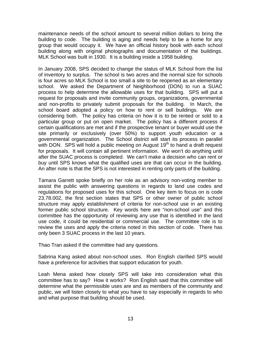maintenance needs of the school amount to several million dollars to bring the building to code. The building is aging and needs help to be a home for any group that would occupy it. We have an official history book with each school building along with original photographs and documentation of the buildings. MLK School was built in 1930. It is a building inside a 1958 building.

In January 2008, SPS decided to change the status of MLK School from the list of inventory to surplus. The school is two acres and the normal size for schools is four acres so MLK School is too small a site to be reopened as an elementary school. We asked the Department of Neighborhood (DON) to run a SUAC process to help determine the allowable uses for that building. SPS will put a request for proposals and invite community groups, organizations, governmental and non-profits to privately submit proposals for the building. In March, the school board adopted a policy on how to rent or sell buildings. We are considering both. The policy has criteria on how it is to be rented or sold to a particular group or put on open market. The policy has a different process if certain qualifications are met and if the prospective tenant or buyer would use the site primarily or exclusively (over 50%) to support youth education or a governmental organization. The School district will start its process in parallel with DON. SPS will hold a public meeting on August  $19<sup>th</sup>$  to hand a draft request for proposals. It will contain all pertinent information. We won't do anything until after the SUAC process is completed. We can't make a decision who can rent or buy until SPS knows what the qualified uses are that can occur in the building. An after note is that the SPS is not interested in renting only parts of the building.

Tamara Garrett spoke briefly on her role as an advisory non-voting member to assist the public with answering questions in regards to land use codes and regulations for proposed uses for this school. One key item to focus on is code 23.78.002, the first section states that SPS or other owner of public school structure may apply establishment of criteria for non-school use in an existing former public school structure. Key words here are "non-school use" and this committee has the opportunity of reviewing any use that is identified in the land use code, it could be residential or commercial use. The committee role is to review the uses and apply the criteria noted in this section of code. There has only been 3 SUAC process in the last 10 years.

Thao Tran asked if the committee had any questions.

Sabrina Kang asked about non-school uses. Ron English clarified SPS would have a preference for activities that support education for youth.

Leah Mena asked how closely SPS will take into consideration what this committee has to say? How it works? Ron English said that this committee will determine what the permissible uses are and as members of the community and public, we will listen closely to what you have to say especially in regards to who and what purpose that building should be used.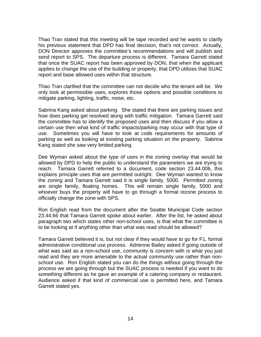Thao Tran stated that this meeting will be tape recorded and he wants to clarify his previous statement that DPD has final decision, that's not correct. Actually, DON Director approves the committee's recommendations and will publish and send report to SPS. The departure process is different. Tamara Garrett stated that once the SUAC report has been approved by DON, that when the applicant applies to change the use of the building or property, that DPD utilizes that SUAC report and base allowed uses within that structure.

Thao Tran clarified that the committee can not decide who the tenant will be. We only look at permissible uses, explores those options and possible conditions to mitigate parking, lighting, traffic, noise, etc.

Sabrina Kang asked about parking. She stated that there are parking issues and how does parking get resolved along with traffic mitigation. Tamara Garrett said the committee has to identify the proposed uses and then discuss if you allow a certain use then what kind of traffic impacts/parking may occur with that type of use. Sometimes you will have to look at code requirements for amounts of parking as well as looking at existing parking situation on the property. Sabrina Kang stated she saw very limited parking.

Dee Wyman asked about the type of uses in the zoning overlay that would be allowed by DPD to help the public to understand the parameters we are trying to reach. Tamara Garrett referred to a document, code section 23.44.006, this explains principle uses that are permitted outright. Dee Wyman wanted to know the zoning and Tamara Garrett said it is single family, 5000. Permitted zoning are single family, floating homes. This will remain single family, 5000 and whoever buys the property will have to go through a formal rezone process to officially change the zone with SPS.

Ron English read from the document after the Seattle Municipal Code section 23.44.66 that Tamara Garrett spoke about earlier. After the list, he asked about paragraph two which states other non-school uses, is that what the committee is to be looking at if anything other than what was read should be allowed?

Tamara Garrett believed it is, but not clear if they would have to go for F1, formal administrative conditional use process. Adrienne Bailey asked if going outside of what was said as a non-school use, community is concern with is what you just read and they are more amenable to the actual community use rather than nonschool use. Ron English stated you can do the things without going through the process we are going through but the SUAC process is needed if you want to do something different as he gave an example of a catering company or restaurant. Audience asked if that kind of commercial use is permitted here, and Tamara Garrett stated yes.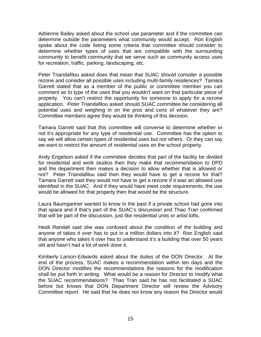Adrienne Bailey asked about the school use parameter and if the committee can determine outside the parameters what community would accept. Ron English spoke about the code listing some criteria that committee should consider to determine whether types of uses that are compatible with the surrounding community to benefit community that we serve such as community access uses for recreation, traffic, parking, landscaping, etc.

Peter Triandafilou asked does that mean that SUAC should consider a possible rezone and consider all possible uses including multi-family residences? Tamara Garrett stated that as a member of the public or committee member you can comment as to type of the uses that you wouldn't want on that particular piece of property. You can't restrict the opportunity for someone to apply for a rezone application. Peter Triandafilou asked should SUAC committee be considering all potential uses and weighing in on the pros and cons of whatever they are? Committee members agree they would be thinking of this decision.

Tamara Garrett said that this committee will converse to determine whether or not it's appropriate for any type of residential use. Committee has the option to say we will allow certain types of residential uses but not others. Or they can say we want to restrict the amount of residential uses on the school property.

Andy Engelson asked if the committee decides that part of the facility be divided for residential and work studios then they make that recommendation to DPD and the department then makes a decision to allow whether that is allowed or not? Peter Triandafilou said then they would have to get a rezone for that? Tamara Garrett said they would not have to get a rezone if it was an allowed use identified in the SUAC. And if they would have meet code requirements, the use would be allowed for that property then that would be the structure.

Laura Baumgartner wanted to know in the past if a private school had gone into that space and if that's part of the SUAC's discussion and Thao Tran confirmed that will be part of the discussion, just like residential units or artist lofts.

Heidi Randall said she was confused about the condition of the building and anyone of takes it over has to put in a million dollars into it? Ron English said that anyone who takes it over has to understand it's a building that over 50 years old and hasn't had a lot of work done it.

Kimberly Larson-Edwards asked about the duties of the DON Director. At the end of the process, SUAC makes a recommendation within ten days and the DON Director modifies the recommendations the reasons for the modification shall be put forth in writing. What would be a reason for Director to modify what the SUAC recommendations? Thao Tran said he has not facilitated a SUAC before but knows that DON Department Director will review the Advisory Committee report. He said that he does not know any reason the Director would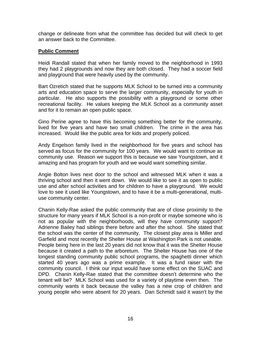change or delineate from what the committee has decided but will check to get an answer back to the Committee.

#### **Public Comment**

Heidi Randall stated that when her family moved to the neighborhood in 1993 they had 2 playgrounds and now they are both closed. They had a soccer field and playground that were heavily used by the community.

Bart Ozretich stated that he supports MLK School to be turned into a community arts and education space to serve the larger community, especially for youth in particular. He also supports the possibility with a playground or some other recreational facility. He values keeping the MLK School as a community asset and for it to remain an open public space.

Gino Perine agree to have this becoming something better for the community, lived for five years and have two small children. The crime in the area has increased. Would like the public area for kids and properly policed.

Andy Engelson family lived in the neighborhood for five years and school has served as focus for the community for 100 years. We would want to continue as community use. Reason we support this is because we saw Youngstown, and it amazing and has program for youth and we would want something similar.

Angie Bolton lives next door to the school and witnessed MLK when it was a thriving school and then it went down. We would like to see it as open to public use and after school activities and for children to have a playground. We would love to see it used like Youngstown, and to have it be a multi-generational, multiuse community center.

Chanin Kelly-Rae asked the public community that are of close proximity to the structure for many years if MLK School is a non-profit or maybe someone who is not as popular with the neighborhoods, will they have community support? Adrienne Bailey had siblings there before and after the school. She stated that the school was the center of the community. The closest play area is Miller and Garfield and most recently the Shelter House at Washington Park is not useable. People being here in the last 20 years did not know that it was the Shelter House because it created a path to the arboretum. The Shelter House has one of the longest standing community public school programs, the spaghetti dinner which started 40 years ago was a prime example. It was a fund raiser with the community council. I think our input would have some effect on the SUAC and DPD. Chanin Kelly-Rae stated that the committee doesn't determine who the tenant will be? MLK School was used for a variety of playtime even then. The community wants it back because the valley has a new crop of children and young people who were absent for 20 years. Dan Schmidt said it wasn't by the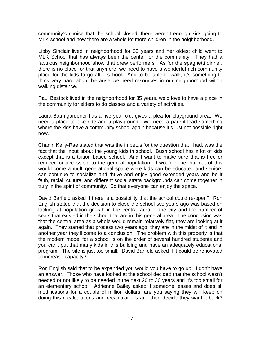community's choice that the school closed, there weren't enough kids going to MLK school and now there are a whole lot more children in the neighborhood.

Libby Sinclair lived in neighborhood for 32 years and her oldest child went to MLK School that has always been the center for the community. They had a fabulous neighborhood show that drew performers. As for the spaghetti dinner, there is no place for that anymore, we need to have a wonderful rich community place for the kids to go after school. And to be able to walk, it's something to think very hard about because we need resources in our neighborhood within walking distance.

Paul Bestock lived in the neighborhood for 35 years, we'd love to have a place in the community for elders to do classes and a variety of activities.

Laura Baumgardener has a five year old, gives a plea for playground area. We need a place to bike ride and a playground. We need a parent-lead something where the kids have a community school again because it's just not possible right now.

Chanin Kelly-Rae stated that was the impetus for the question that I had, was the fact that the input about the young kids in school. Bush school has a lot of kids except that is a tuition based school. And I want to make sure that is free or reduced or accessible to the general population. I would hope that out of this would come a multi-generational space were kids can be educated and seniors can continue to socialize and thrive and enjoy good extended years and be it faith, racial, cultural and different social strata backgrounds can come together in truly in the spirit of community. So that everyone can enjoy the space.

David Barfield asked if there is a possibility that the school could re-open? Ron English stated that the decision to close the school two years ago was based on looking at population growth in the central area of the city and the number of seats that existed in the school that are in this general area. The conclusion was that the central area as a whole would remain relatively flat, they are looking at it again. They started that process two years ago, they are in the midst of it and in another year they'll come to a conclusion. The problem with this property is that the modern model for a school is on the order of several hundred students and you can't put that many kids in this building and have an adequately educational program. The site is just too small. David Barfield asked if it could be renovated to increase capacity?

Ron English said that to be expanded you would you have to go up. I don't have an answer. Those who have looked at the school decided that the school wasn't needed or not likely to be needed in the next 20 to 30 years and it's too small for an elementary school. Adrienne Bailey asked if someone leases and does all modifications for a couple of million dollars, are you saying they will keep on doing this recalculations and recalculations and then decide they want it back?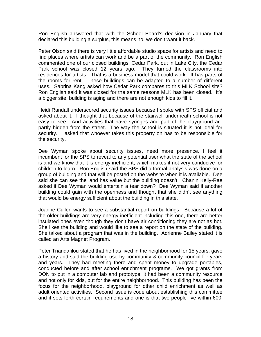Ron English answered that with the School Board's decision in January that declared this building a surplus, this means no, we don't want it back.

Peter Olson said there is very little affordable studio space for artists and need to find places where artists can work and be a part of the community. Ron English commented one of our closed buildings, Cedar Park, out in Lake City, the Cedar Park school was closed 12 years ago. They turned the classrooms into residences for artists. That is a business model that could work. It has parts of the rooms for rent. These buildings can be adapted to a number of different uses. Sabrina Kang asked how Cedar Park compares to this MLK School site? Ron English said it was closed for the same reasons MLK has been closed. It's a bigger site, building is aging and there are not enough kids to fill it.

Heidi Randall underscored security issues because I spoke with SPS official and asked about it. I thought that because of the stairwell underneath school is not easy to see. And activities that have syringes and part of the playground are partly hidden from the street. The way the school is situated it is not ideal for security. I asked that whoever takes this property on has to be responsible for the security.

Dee Wyman spoke about security issues, need more presence. I feel it incumbent for the SPS to reveal to any potential user what the state of the school is and we know that it is energy inefficient, which makes it not very conducive for children to learn. Ron English said the SPS did a formal analysis was done on a group of building and that will be posted on the website when it is available. Dee said she can see the land has value but the building doesn't. Chanin Kelly-Rae asked if Dee Wyman would entertain a tear down? Dee Wyman said if another building could gain with the openness and thought that she didn't see anything that would be energy sufficient about the building in this state.

Joanne Cullen wants to see a substantial report on buildings. Because a lot of the older buildings are very energy inefficient including this one, there are better insulated ones even though they don't have air conditioning they are not as hot. She likes the building and would like to see a report on the state of the building. She talked about a program that was in the building. Adrienne Bailey stated it is called an Arts Magnet Program.

Peter Triandafilou stated that he has lived in the neighborhood for 15 years, gave a history and said the building use by community & community council for years and years. They had meeting there and spent money to upgrade portables, conducted before and after school enrichment programs. We got grants from DON to put in a computer lab and prototype, it had been a community resource and not only for kids, but for the entire neighborhood. This building has been the focus for the neighborhood, playground for other child enrichment as well as adult oriented activities. Second issue is code about establishing this committee and it sets forth certain requirements and one is that two people live within 600'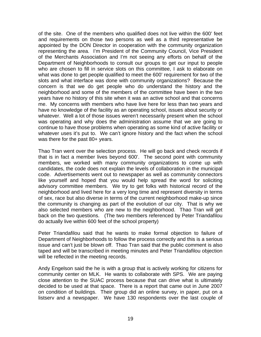of the site. One of the members who qualified does not live within the 600' feet and requirements on those two persons as well as a third representative be appointed by the DON Director in cooperation with the community organization representing the area. I'm President of the Community Council, Vice President of the Merchants Association and I'm not seeing any efforts on behalf of the Department of Neighborhoods to consult our groups to get our input to people who are chosen to fill in service slots on this committee, I ask to elaborate on what was done to get people qualified to meet the 600' requirement for two of the slots and what interface was done with community organizations? Because the concern is that we do get people who do understand the history and the neighborhood and some of the members of the committee have been in the two years have no history of this site when it was an active school and that concerns me. My concerns with members who have live here for less than two years and have no knowledge of the facility as an operating school, issues about security or whatever. Well a lot of those issues weren't necessarily present when the school was operating and why does the administration assume that we are going to continue to have those problems when operating as some kind of active facility or whatever uses it's put to. We can't ignore history and the fact when the school was there for the past 80+ years.

Thao Tran went over the selection process. He will go back and check records if that is in fact a member lives beyond 600'. The second point with community members, we worked with many community organizations to come up with candidates, the code does not explain the levels of collaboration in the municipal code. Advertisements went out to newspaper as well as community connectors like yourself and hoped that you would help spread the word for soliciting advisory committee members. We try to get folks with historical record of the neighborhood and lived here for a very long time and represent diversity in terms of sex, race but also diverse in terms of the current neighborhood make-up since the community is changing as part of the evolution of our city. That is why we also selected members who are new to the neighborhood. Thao Tran will get back on the two questions. (The two members referenced by Peter Triandafilou do actually live within 600 feet of the school property)

Peter Triandafilou said that he wants to make formal objection to failure of Department of Neighborhoods to follow the process correctly and this is a serious issue and can't just be blown off. Thao Tran said that the public comment is also taped and will be transcribed in meeting minutes and Peter Triandafilou objection will be reflected in the meeting records.

Andy Engelson said the he is with a group that is actively working for citizens for community center on MLK. He wants to collaborate with SPS. We are paying close attention to the SUAC process because that can drive what is ultimately decided to be used at that space. There is a report that came out in June 2007 on condition of buildings. Their group did an online survey, in paper, put on a listserv and a newspaper. We have 130 respondents over the last couple of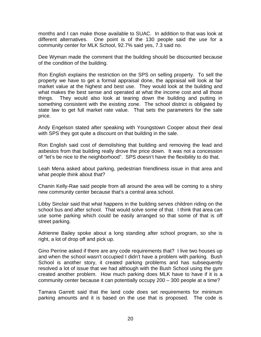months and I can make those available to SUAC. In addition to that was look at different alternatives. One point is of the 130 people said the use for a community center for MLK School, 92.7% said yes, 7.3 said no.

Dee Wyman made the comment that the building should be discounted because of the condition of the building.

Ron English explains the restriction on the SPS on selling property. To sell the property we have to get a formal appraisal done, the appraisal will look at fair market value at the highest and best use. They would look at the building and what makes the best sense and operated at what the income cost and all those things. They would also look at tearing down the building and putting in something consistent with the existing zone. The school district is obligated by state law to get full market rate value. That sets the parameters for the sale price.

Andy Engelson stated after speaking with Youngstown Cooper about their deal with SPS they got quite a discount on that building in the sale.

Ron English said cost of demolishing that building and removing the lead and asbestos from that building really drove the price down. It was not a concession of "let's be nice to the neighborhood". SPS doesn't have the flexibility to do that.

Leah Mena asked about parking, pedestrian friendliness issue in that area and what people think about that?

Chanin Kelly-Rae said people from all around the area will be coming to a shiny new community center because that's a central area school.

Libby Sinclair said that what happens in the building serves children riding on the school bus and after school. That would solve some of that. I think that area can use some parking which could be easily arranged so that some of that is off street parking.

Adrienne Bailey spoke about a long standing after school program, so she is right, a lot of drop off and pick up.

Gino Perrine asked if there are any code requirements that? I live two houses up and when the school wasn't occupied I didn't have a problem with parking. Bush School is another story, it created parking problems and has subsequently resolved a lot of issue that we had although with the Bush School using the gym created another problem. How much parking does MLK have to have if it is a community center because it can potentially occupy 200 – 300 people at a time?

Tamara Garrett said that the land code does set requirements for minimum parking amounts and it is based on the use that is proposed. The code is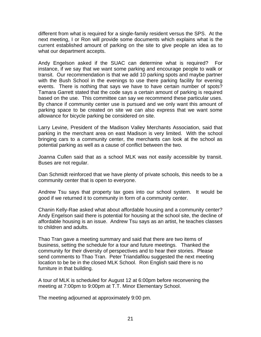different from what is required for a single-family resident versus the SPS. At the next meeting, I or Ron will provide some documents which explains what is the current established amount of parking on the site to give people an idea as to what our department accepts.

Andy Engelson asked if the SUAC can determine what is required? For instance, if we say that we want some parking and encourage people to walk or transit. Our recommendation is that we add 10 parking spots and maybe partner with the Bush School in the evenings to use there parking facility for evening events. There is nothing that says we have to have certain number of spots? Tamara Garrett stated that the code says a certain amount of parking is required based on the use. This committee can say we recommend these particular uses. By chance if community center use is pursued and we only want this amount of parking space to be created on site we can also express that we want some allowance for bicycle parking be considered on site.

Larry Levine, President of the Madison Valley Merchants Association, said that parking in the merchant area on east Madison is very limited. With the school bringing cars to a community center, the merchants can look at the school as potential parking as well as a cause of conflict between the two.

Joanna Cullen said that as a school MLK was not easily accessible by transit. Buses are not regular.

Dan Schmidt reinforced that we have plenty of private schools, this needs to be a community center that is open to everyone.

Andrew Tsu says that property tax goes into our school system. It would be good if we returned it to community in form of a community center.

Chanin Kelly-Rae asked what about affordable housing and a community center? Andy Engelson said there is potential for housing at the school site, the decline of affordable housing is an issue. Andrew Tsu says as an artist, he teaches classes to children and adults.

Thao Tran gave a meeting summary and said that there are two items of business, setting the schedule for a tour and future meetings. Thanked the community for their diversity of perspectives and to hear their stories. Please send comments to Thao Tran. Peter Triandafilou suggested the next meeting location to be be in the closed MLK School. Ron English said there is no furniture in that building.

A tour of MLK is scheduled for August 12 at 6:00pm before reconvening the meeting at 7:00pm to 9:00pm at T.T. Minor Elementary School.

The meeting adjourned at approximately 9:00 pm.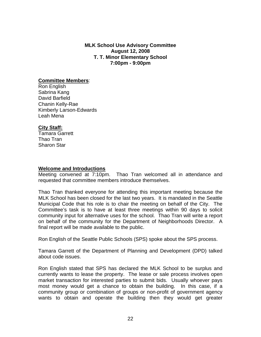**MLK School Use Advisory Committee August 12, 2008 T. T. Minor Elementary School 7:00pm - 9:00pm** 

#### **Committee Members**:

Ron English Sabrina Kang David Barfield Chanin Kelly-Rae Kimberly Larson-Edwards Leah Mena

#### **City Staff:**

Tamara Garrett Thao Tran Sharon Star

#### **Welcome and Introductions**

Meeting convened at 7:10pm. Thao Tran welcomed all in attendance and requested that committee members introduce themselves.

Thao Tran thanked everyone for attending this important meeting because the MLK School has been closed for the last two years. It is mandated in the Seattle Municipal Code that his role is to chair the meeting on behalf of the City. The Committee's task is to have at least three meetings within 90 days to solicit community input for alternative uses for the school. Thao Tran will write a report on behalf of the community for the Department of Neighborhoods Director. A final report will be made available to the public.

Ron English of the Seattle Public Schools (SPS) spoke about the SPS process.

Tamara Garrett of the Department of Planning and Development (DPD) talked about code issues.

Ron English stated that SPS has declared the MLK School to be surplus and currently wants to lease the property. The lease or sale process involves open market transaction for interested parties to submit bids. Usually whoever pays most money would get a chance to obtain the building. In this case, if a community group or combination of groups or non-profit of government agency wants to obtain and operate the building then they would get greater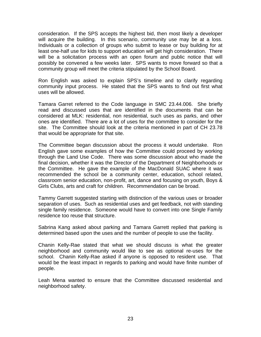consideration. If the SPS accepts the highest bid, then most likely a developer will acquire the building. In this scenario, community use may be at a loss. Individuals or a collection of groups who submit to lease or buy building for at least one-half use for kids to support education will get high consideration. There will be a solicitation process with an open forum and public notice that will possibly be convened a few weeks later. SPS wants to move forward so that a community group will meet the criteria stipulated by the School Board.

Ron English was asked to explain SPS's timeline and to clarify regarding community input process. He stated that the SPS wants to find out first what uses will be allowed.

Tamara Garret referred to the Code language in SMC 23.44.006. She briefly read and discussed uses that are identified in the documents that can be considered at MLK: residential, non residential, such uses as parks, and other ones are identified. There are a lot of uses for the committee to consider for the site. The Committee should look at the criteria mentioned in part of CH 23.78 that would be appropriate for that site.

The Committee began discussion about the process it would undertake. Ron English gave some examples of how the Committee could proceed by working through the Land Use Code. There was some discussion about who made the final decision, whether it was the Director of the Department of Neighborhoods or the Committee. He gave the example of the MacDonald SUAC where it was recommended the school be a community center, education, school related, classroom senior education, non-profit, art, dance and focusing on youth, Boys & Girls Clubs, arts and craft for children. Recommendation can be broad.

Tammy Garrett suggested starting with distinction of the various uses or broader separation of uses. Such as residential uses and get feedback, not with standing single family residence. Someone would have to convert into one Single Family residence too reuse that structure.

Sabrina Kang asked about parking and Tamara Garrett replied that parking is determined based upon the uses and the number of people to use the facility.

Chanin Kelly-Rae stated that what we should discuss is what the greater neighborhood and community would like to see as optional re-uses for the school. Chanin Kelly-Rae asked if anyone is opposed to resident use. That would be the least impact in regards to parking and would have finite number of people.

Leah Mena wanted to ensure that the Committee discussed residential and neighborhood safety.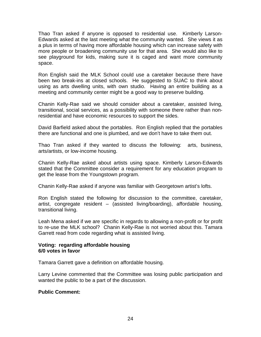Thao Tran asked if anyone is opposed to residential use. Kimberly Larson-Edwards asked at the last meeting what the community wanted. She views it as a plus in terms of having more affordable housing which can increase safety with more people or broadening community use for that area. She would also like to see playground for kids, making sure it is caged and want more community space.

Ron English said the MLK School could use a caretaker because there have been two break-ins at closed schools. He suggested to SUAC to think about using as arts dwelling units, with own studio. Having an entire building as a meeting and community center might be a good way to preserve building.

Chanin Kelly-Rae said we should consider about a caretaker, assisted living, transitional, social services, as a possibility with someone there rather than nonresidential and have economic resources to support the sides.

David Barfield asked about the portables. Ron English replied that the portables there are functional and one is plumbed, and we don't have to take them out.

Thao Tran asked if they wanted to discuss the following: arts, business, arts/artists, or low-income housing.

Chanin Kelly-Rae asked about artists using space. Kimberly Larson-Edwards stated that the Committee consider a requirement for any education program to get the lease from the Youngstown program.

Chanin Kelly-Rae asked if anyone was familiar with Georgetown artist's lofts.

Ron English stated the following for discussion to the committee, caretaker, artist, congregate resident – (assisted living/boarding), affordable housing, transitional living.

Leah Mena asked if we are specific in regards to allowing a non-profit or for profit to re-use the MLK school? Chanin Kelly-Rae is not worried about this. Tamara Garrett read from code regarding what is assisted living.

#### **Voting: regarding affordable housing 6/0 votes in favor**

Tamara Garrett gave a definition on affordable housing.

Larry Levine commented that the Committee was losing public participation and wanted the public to be a part of the discussion.

#### **Public Comment:**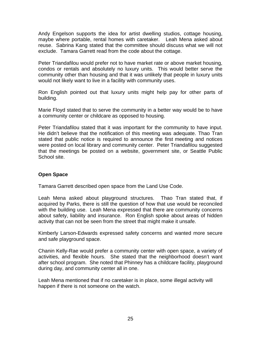Andy Engelson supports the idea for artist dwelling studios, cottage housing, maybe where portable, rental homes with caretaker. Leah Mena asked about reuse. Sabrina Kang stated that the committee should discuss what we will not exclude. Tamara Garrett read from the code about the cottage.

Peter Triandafilou would prefer not to have market rate or above market housing, condos or rentals and absolutely no luxury units. This would better serve the community other than housing and that it was unlikely that people in luxury units would not likely want to live in a facility with community uses.

Ron English pointed out that luxury units might help pay for other parts of building.

Marie Floyd stated that to serve the community in a better way would be to have a community center or childcare as opposed to housing.

Peter Triandafilou stated that it was important for the community to have input. He didn't believe that the notification of this meeting was adequate. Thao Tran stated that public notice is required to announce the first meeting and notices were posted on local library and community center. Peter Triandafilou suggested that the meetings be posted on a website, government site, or Seattle Public School site.

#### **Open Space**

Tamara Garrett described open space from the Land Use Code.

Leah Mena asked about playground structures. Thao Tran stated that, if acquired by Parks, there is still the question of how that use would be reconciled with the building use. Leah Mena expressed that there are community concerns about safety, liability and insurance. Ron English spoke about areas of hidden activity that can not be seen from the street that might make it unsafe.

Kimberly Larson-Edwards expressed safety concerns and wanted more secure and safe playground space.

Chanin Kelly-Rae would prefer a community center with open space, a variety of activities, and flexible hours. She stated that the neighborhood doesn't want after school program. She noted that Phinney has a childcare facility, playground during day, and community center all in one.

Leah Mena mentioned that if no caretaker is in place, some illegal activity will happen if there is not someone on the watch.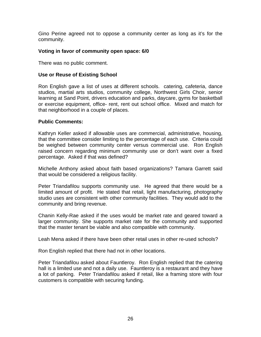Gino Perine agreed not to oppose a community center as long as it's for the community.

#### **Voting in favor of community open space: 6/0**

There was no public comment.

#### **Use or Reuse of Existing School**

Ron English gave a list of uses at different schools. catering, cafeteria, dance studios, martial arts studios, community college, Northwest Girls Choir, senior learning at Sand Point, drivers education and parks, daycare, gyms for basketball or exercise equipment, office- rent, rent out school office. Mixed and match for that neighborhood in a couple of places.

#### **Public Comments:**

Kathryn Keller asked if allowable uses are commercial, administrative, housing, that the committee consider limiting to the percentage of each use. Criteria could be weighed between community center versus commercial use. Ron English raised concern regarding minimum community use or don't want over a fixed percentage. Asked if that was defined?

Michelle Anthony asked about faith based organizations? Tamara Garrett said that would be considered a religious facility.

Peter Triandafilou supports community use. He agreed that there would be a limited amount of profit. He stated that retail, light manufacturing, photography studio uses are consistent with other community facilities. They would add to the community and bring revenue.

Chanin Kelly-Rae asked if the uses would be market rate and geared toward a larger community. She supports market rate for the community and supported that the master tenant be viable and also compatible with community.

Leah Mena asked if there have been other retail uses in other re-used schools?

Ron English replied that there had not in other locations.

Peter Triandafilou asked about Fauntleroy. Ron English replied that the catering hall is a limited use and not a daily use. Fauntleroy is a restaurant and they have a lot of parking. Peter Triandafilou asked if retail, like a framing store with four customers is compatible with securing funding.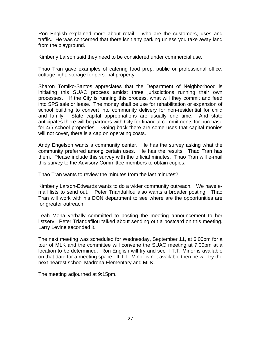Ron English explained more about retail – who are the customers, uses and traffic. He was concerned that there isn't any parking unless you take away land from the playground.

Kimberly Larson said they need to be considered under commercial use.

Thao Tran gave examples of catering food prep, public or professional office, cottage light, storage for personal property.

Sharon Tomiko-Santos appreciates that the Department of Neighborhood is initiating this SUAC process amidst three jurisdictions running their own processes. If the City is running this process, what will they commit and feed into SPS sale or lease. The money shall be use for rehabilitation or expansion of school building to convert into community delivery for non-residential for child and family. State capital appropriations are usually one time. And state anticipates there will be partners with City for financial commitments for purchase for 4/5 school properties. Going back there are some uses that capital monies will not cover, there is a cap on operating costs.

Andy Engelson wants a community center. He has the survey asking what the community preferred among certain uses. He has the results. Thao Tran has them. Please include this survey with the official minutes. Thao Tran will e-mail this survey to the Advisory Committee members to obtain copies.

Thao Tran wants to review the minutes from the last minutes?

Kimberly Larson-Edwards wants to do a wider community outreach. We have email lists to send out. Peter Triandafilou also wants a broader posting. Thao Tran will work with his DON department to see where are the opportunities are for greater outreach.

Leah Mena verbally committed to posting the meeting announcement to her listserv. Peter Triandafilou talked about sending out a postcard on this meeting. Larry Levine seconded it.

The next meeting was scheduled for Wednesday, September 11, at 6:00pm for a tour of MLK and the committee will convene the SUAC meeting at 7:00pm at a location to be determined. Ron English will try and see if T.T. Minor is available on that date for a meeting space. If T.T. Minor is not available then he will try the next nearest school Madrona Elementary and MLK.

The meeting adjourned at 9:15pm.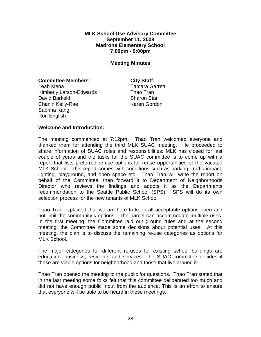#### **MLK School Use Advisory Committee September 11, 2008 Madrona Elementary School 7:00pm - 9:00pm**

#### **Meeting Minutes**

#### **Committee Members:** City Staff:

Leah Mena **Tamara** Garrett Kimberly Larson-Edwards Thao Tran David Barfield **Sharon Star** Sharon Star Chanin Kelly-Rae Karen Gordon Sabrina Kang Ron English

#### **Welcome and Introduction:**

The meeting commenced at 7:12pm. Thao Tran welcomed everyone and thanked them for attending the third MLK SUAC meeting. He proceeded to share information of SUAC roles and responsibilities: MLK has closed for last couple of years and the tasks for the SUAC committee is to come up with a report that lists preferred re-use options for reuse opportunities of the vacated MLK School. This report comes with conditions such as parking, traffic impact, lighting, playground, and open space etc. Thao Tran will write the report on behalf of the Committee, than forward it to Department of Neighborhoods Director who reviews the findings and adopts it as the Departments recommendation to the Seattle Public School (SPS). SPS will do its own selection process for the new tenants of MLK School.

Thao Tran explained that we are here to keep all acceptable options open and not limit the community's options. The parcel can accommodate multiple uses. In the first meeting, the Committee laid out ground rules and at the second meeting, the Committee made some decisions about potential uses. At this meeting, the plan is to discuss the remaining re-use categories as options for MLK School.

The major categories for different re-uses for existing school buildings are education, business, residents and services. The SUAC committee decides if these are viable options for neighborhood and those that live around it.

Thao Tran opened the meeting to the public for questions. Thao Tran stated that in the last meeting some folks felt that this committee deliberated too much and did not have enough public input from the audience. This is an effort to ensure that everyone will be able to be heard in these meetings.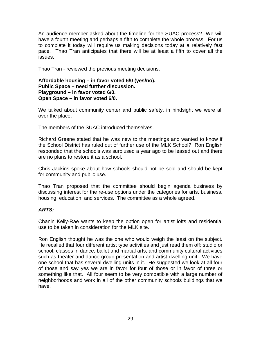An audience member asked about the timeline for the SUAC process? We will have a fourth meeting and perhaps a fifth to complete the whole process. For us to complete it today will require us making decisions today at a relatively fast pace. Thao Tran anticipates that there will be at least a fifth to cover all the issues.

Thao Tran - reviewed the previous meeting decisions.

#### **Affordable housing – in favor voted 6/0 (yes/no). Public Space – need further discussion. Playground – in favor voted 6/0. Open Space – in favor voted 6/0.**

We talked about community center and public safety, in hindsight we were all over the place.

The members of the SUAC introduced themselves.

Richard Greene stated that he was new to the meetings and wanted to know if the School District has ruled out of further use of the MLK School? Ron English responded that the schools was surplused a year ago to be leased out and there are no plans to restore it as a school.

Chris Jackins spoke about how schools should not be sold and should be kept for community and public use.

Thao Tran proposed that the committee should begin agenda business by discussing interest for the re-use options under the categories for arts, business, housing, education, and services. The committee as a whole agreed.

#### *ARTS:*

Chanin Kelly-Rae wants to keep the option open for artist lofts and residential use to be taken in consideration for the MLK site.

Ron English thought he was the one who would weigh the least on the subject. He recalled that four different artist type activities and just read them off: studio or school, classes in dance, ballet and martial arts, and community cultural activities such as theater and dance group presentation and artist dwelling unit. We have one school that has several dwelling units in it. He suggested we look at all four of those and say yes we are in favor for four of those or in favor of three or something like that. All four seem to be very compatible with a large number of neighborhoods and work in all of the other community schools buildings that we have.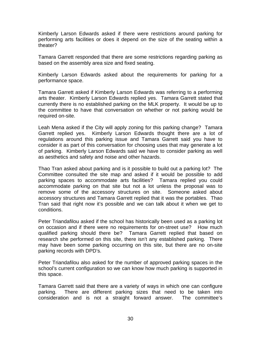Kimberly Larson Edwards asked if there were restrictions around parking for performing arts facilities or does it depend on the size of the seating within a theater?

Tamara Garrett responded that there are some restrictions regarding parking as based on the assembly area size and fixed seating.

Kimberly Larson Edwards asked about the requirements for parking for a performance space.

Tamara Garrett asked if Kimberly Larson Edwards was referring to a performing arts theater. Kimberly Larson Edwards replied yes. Tamara Garrett stated that currently there is no established parking on the MLK property. It would be up to the committee to have that conversation on whether or not parking would be required on-site.

Leah Mena asked if the City will apply zoning for this parking change? Tamara Garrett replied yes. Kimberly Larson Edwards thought there are a lot of regulations around this parking issue and Tamara Garrett said you have to consider it as part of this conversation for choosing uses that may generate a lot of parking. Kimberly Larson Edwards said we have to consider parking as well as aesthetics and safety and noise and other hazards.

Thao Tran asked about parking and is it possible to build out a parking lot? The Committee consulted the site map and asked if it would be possible to add parking spaces to accommodate arts facilities? Tamara replied you could accommodate parking on that site but not a lot unless the proposal was to remove some of the accessory structures on site. Someone asked about accessory structures and Tamara Garrett replied that it was the portables. Thao Tran said that right now it's possible and we can talk about it when we get to conditions.

Peter Triandafilou asked if the school has historically been used as a parking lot on occasion and if there were no requirements for on-street use? How much qualified parking should there be? Tamara Garrett replied that based on research she performed on this site, there isn't any established parking. There may have been some parking occurring on this site, but there are no on-site parking records with DPD's.

Peter Triandafilou also asked for the number of approved parking spaces in the school's current configuration so we can know how much parking is supported in this space.

Tamara Garrett said that there are a variety of ways in which one can configure parking. There are different parking sizes that need to be taken into consideration and is not a straight forward answer. The committee's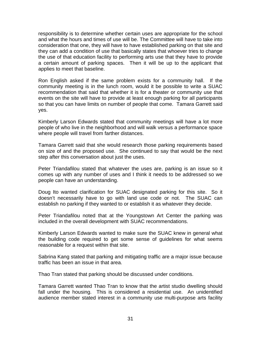responsibility is to determine whether certain uses are appropriate for the school and what the hours and times of use will be. The Committee will have to take into consideration that one, they will have to have established parking on that site and they can add a condition of use that basically states that whoever tries to change the use of that education facility to performing arts use that they have to provide a certain amount of parking spaces. Then it will be up to the applicant that applies to meet that baseline.

Ron English asked if the same problem exists for a community hall. If the community meeting is in the lunch room, would it be possible to write a SUAC recommendation that said that whether it is for a theater or community use that events on the site will have to provide at least enough parking for all participants so that you can have limits on number of people that come. Tamara Garrett said yes.

Kimberly Larson Edwards stated that community meetings will have a lot more people of who live in the neighborhood and will walk versus a performance space where people will travel from farther distances.

Tamara Garrett said that she would research those parking requirements based on size of and the proposed use. She continued to say that would be the next step after this conversation about just the uses.

Peter Triandafilou stated that whatever the uses are, parking is an issue so it comes up with any number of uses and I think it needs to be addressed so we people can have an understanding.

Doug Ito wanted clarification for SUAC designated parking for this site. So it doesn't necessarily have to go with land use code or not. The SUAC can establish no parking if they wanted to or establish it as whatever they decide.

Peter Triandafilou noted that at the Youngstown Art Center the parking was included in the overall development with SUAC recommendations.

Kimberly Larson Edwards wanted to make sure the SUAC knew in general what the building code required to get some sense of guidelines for what seems reasonable for a request within that site.

Sabrina Kang stated that parking and mitigating traffic are a major issue because traffic has been an issue in that area.

Thao Tran stated that parking should be discussed under conditions.

Tamara Garrett wanted Thao Tran to know that the artist studio dwelling should fall under the housing. This is considered a residential use. An unidentified audience member stated interest in a community use multi-purpose arts facility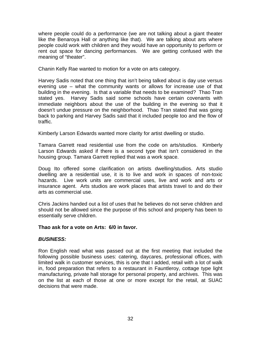where people could do a performance (we are not talking about a giant theater like the Benaroya Hall or anything like that). We are talking about arts where people could work with children and they would have an opportunity to perform or rent out space for dancing performances. We are getting confused with the meaning of "theater".

Chanin Kelly Rae wanted to motion for a vote on arts category.

Harvey Sadis noted that one thing that isn't being talked about is day use versus evening use – what the community wants or allows for increase use of that building in the evening. Is that a variable that needs to be examined? Thao Tran stated yes. Harvey Sadis said some schools have certain covenants with immediate neighbors about the use of the building in the evening so that it doesn't undue pressure on the neighborhood. Thao Tran stated that was going back to parking and Harvey Sadis said that it included people too and the flow of traffic.

Kimberly Larson Edwards wanted more clarity for artist dwelling or studio.

Tamara Garrett read residential use from the code on arts/studios. Kimberly Larson Edwards asked if there is a second type that isn't considered in the housing group. Tamara Garrett replied that was a work space.

Doug Ito offered some clarification on artists dwelling/studios. Arts studio dwelling are a residential use, it is to live and work in spaces of non-toxic hazards. Live work units are commercial uses, live and work and arts or insurance agent. Arts studios are work places that artists travel to and do their arts as commercial use.

Chris Jackins handed out a list of uses that he believes do not serve children and should not be allowed since the purpose of this school and property has been to essentially serve children.

#### **Thao ask for a vote on Arts: 6/0 in favor.**

#### *BUSINESS:*

Ron English read what was passed out at the first meeting that included the following possible business uses: catering, daycares, professional offices, with limited walk in customer services, this is one that I added, retail with a lot of walk in, food preparation that refers to a restaurant in Fauntleroy, cottage type light manufacturing, private hall storage for personal property, and archives. This was on the list at each of those at one or more except for the retail, at SUAC decisions that were made.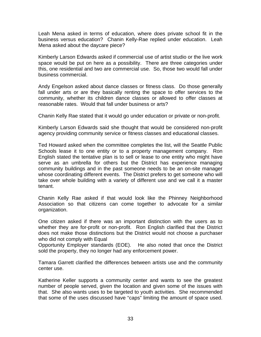Leah Mena asked in terms of education, where does private school fit in the business versus education? Chanin Kelly-Rae replied under education. Leah Mena asked about the daycare piece?

Kimberly Larson Edwards asked if commercial use of artist studio or the live work space would be put on here as a possibility. There are three categories under this, one residential and two are commercial use. So, those two would fall under business commercial.

Andy Engelson asked about dance classes or fitness class. Do those generally fall under arts or are they basically renting the space to offer services to the community, whether its children dance classes or allowed to offer classes at reasonable rates. Would that fall under business or arts?

Chanin Kelly Rae stated that it would go under education or private or non-profit.

Kimberly Larson Edwards said she thought that would be considered non-profit agency providing community service or fitness classes and educational classes.

Ted Howard asked when the committee completes the list, will the Seattle Public Schools lease it to one entity or to a property management company. Ron English stated the tentative plan is to sell or lease to one entity who might have serve as an umbrella for others but the District has experience managing community buildings and in the past someone needs to be an on-site manager whose coordinating different events. The District prefers to get someone who will take over whole building with a variety of different use and we call it a master tenant.

Chanin Kelly Rae asked if that would look like the Phinney Neighborhood Association so that citizens can come together to advocate for a similar organization.

One citizen asked if there was an important distinction with the users as to whether they are for-profit or non-profit. Ron English clarified that the District does not make those distinctions but the District would not choose a purchaser who did not comply with Equal

Opportunity Employer standards (EOE). He also noted that once the District sold the property, they no longer had any enforcement power.

Tamara Garrett clarified the differences between artists use and the community center use.

Katherine Keller supports a community center and wants to see the greatest number of people served, given the location and given some of the issues with that. She also wants uses to be targeted to youth activities. She recommended that some of the uses discussed have "caps" limiting the amount of space used.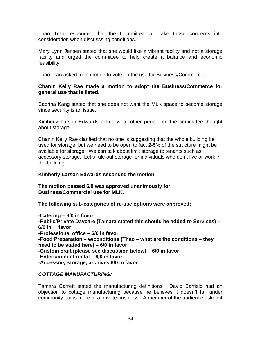Thao Tran responded that the Committee will take those concerns into consideration when discusssing conditions.

Mary Lynn Jensen stated that she would like a vibrant facility and not a storage facility and urged the committee to help create a balance and economic feasibility.

Thao Tran asked for a motion to vote on the use for Business/Commercial.

#### **Chanin Kelly Rae made a motion to adopt the Business/Commerce for general use that is listed.**

Sabrina Kang stated that she does not want the MLK space to become storage since security is an issue.

Kimberly Larson Edwards asked what other people on the committee thought about storage.

Chanin Kelly Rae clarified that no one is suggesting that the whole building be used for storage, but we need to be open to fact 2-5% of the structure might be available for storage. We can talk about limit storage to tenants such as accessory storage. Let's rule out storage for individuals who don't live or work in the building.

#### **Kimberly Larson Edwards seconded the motion.**

**The motion passed 6/0 was approved unanimously for Business/Commercial use for MLK.** 

**The following sub-categories of re-use options were approved:**

**-Catering – 6/0 in favor -Public/Private Daycare (Tamara stated this should be added to Services) – 6/0 in favor -Professional office – 6/0 in favor -Food Preparation – w/conditions (Thao – what are the conditions – they need to be stated here) – 6/0 in favor -Custom craft (please see discussion below) – 6/0 in favor -Entertainment rental – 6/0 in favor -Accessory storage, archives 6/0 in favor** 

#### *COTTAGE MANUFACTURING:*

Tamara Garrett stated the manufacturing definitions. David Barfield had an objection to cottage manufacturing because he believes it doesn't fall under community but is more of a private business. A member of the audience asked if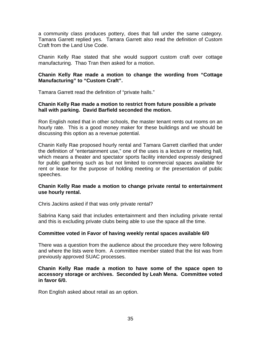a community class produces pottery, does that fall under the same category. Tamara Garrett replied yes. Tamara Garrett also read the definition of Custom Craft from the Land Use Code.

Chanin Kelly Rae stated that she would support custom craft over cottage manufacturing. Thao Tran then asked for a motion.

#### **Chanin Kelly Rae made a motion to change the wording from "Cottage Manufacturing" to "Custom Craft".**

Tamara Garrett read the definition of "private halls."

#### **Chanin Kelly Rae made a motion to restrict from future possible a private hall with parking. David Barfield seconded the motion.**

Ron English noted that in other schools, the master tenant rents out rooms on an hourly rate. This is a good money maker for these buildings and we should be discussing this option as a revenue potential.

Chanin Kelly Rae proposed hourly rental and Tamara Garrett clarified that under the definition of "entertainment use," one of the uses is a lecture or meeting hall, which means a theater and spectator sports facility intended expressly designed for public gathering such as but not limited to commercial spaces available for rent or lease for the purpose of holding meeting or the presentation of public speeches.

#### **Chanin Kelly Rae made a motion to change private rental to entertainment use hourly rental.**

Chris Jackins asked if that was only private rental?

Sabrina Kang said that includes entertainment and then including private rental and this is excluding private clubs being able to use the space all the time.

#### **Committee voted in Favor of having weekly rental spaces available 6/0**

There was a question from the audience about the procedure they were following and where the lists were from. A committee member stated that the list was from previously approved SUAC processes.

#### **Chanin Kelly Rae made a motion to have some of the space open to accessory storage or archives. Seconded by Leah Mena. Committee voted in favor 6/0.**

Ron English asked about retail as an option.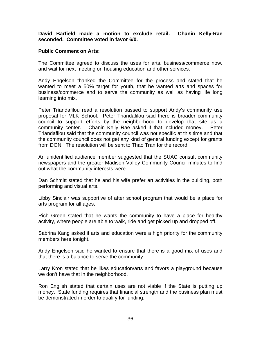**David Barfield made a motion to exclude retail. Chanin Kelly-Rae seconded. Committee voted in favor 6/0.** 

#### **Public Comment on Arts:**

The Committee agreed to discuss the uses for arts, business/commerce now, and wait for next meeting on housing education and other services.

Andy Engelson thanked the Committee for the process and stated that he wanted to meet a 50% target for youth, that he wanted arts and spaces for business/commerce and to serve the community as well as having life long learning into mix.

Peter Triandafilou read a resolution passed to support Andy's community use proposal for MLK School. Peter Triandafilou said there is broader community council to support efforts by the neighborhood to develop that site as a community center. Chanin Kelly Rae asked if that included money. Peter Triandafilou said that the community council was not specific at this time and that the community council does not get any kind of general funding except for grants from DON. The resolution will be sent to Thao Tran for the record.

An unidentified audience member suggested that the SUAC consult community newspapers and the greater Madison Valley Community Council minutes to find out what the community interests were.

Dan Schmitt stated that he and his wife prefer art activities in the building, both performing and visual arts.

Libby Sinclair was supportive of after school program that would be a place for arts program for all ages.

Rich Green stated that he wants the community to have a place for healthy activity, where people are able to walk, ride and get picked up and dropped off.

Sabrina Kang asked if arts and education were a high priority for the community members here tonight.

Andy Engelson said he wanted to ensure that there is a good mix of uses and that there is a balance to serve the community.

Larry Kron stated that he likes education/arts and favors a playground because we don't have that in the neighborhood.

Ron English stated that certain uses are not viable if the State is putting up money. State funding requires that financial strength and the business plan must be demonstrated in order to qualify for funding.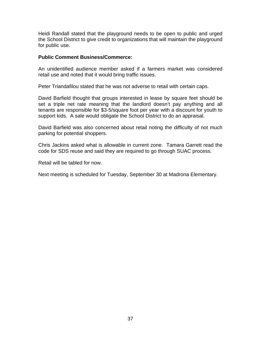Heidi Randall stated that the playground needs to be open to public and urged the School District to give credit to organizations that will maintain the playground for public use.

#### **Public Comment Business/Commerce:**

An unidentified audience member asked if a farmers market was considered retail use and noted that it would bring traffic issues.

Peter Triandafilou stated that he was not adverse to retail with certain caps.

David Barfield thought that groups interested in lease by square feet should be set a triple net rate meaning that the landlord doesn't pay anything and all tenants are responsible for \$3-5/square foot per year with a discount for youth to support kids. A sale would obligate the School District to do an appraisal.

David Barfield was also concerned about retail noting the difficulty of not much parking for potential shoppers.

Chris Jackins asked what is allowable in current zone. Tamara Garrett read the code for SDS reuse and said they are required to go through SUAC process.

Retail will be tabled for now.

Next meeting is scheduled for Tuesday, September 30 at Madrona Elementary.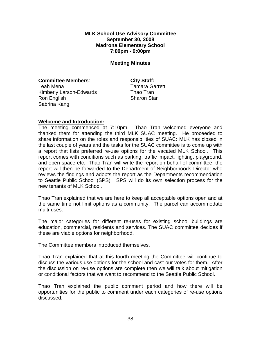**MLK School Use Advisory Committee September 30, 2008 Madrona Elementary School 7:00pm - 9:00pm** 

#### **Meeting Minutes**

**Committee Members:** City Staff:

Leah Mena Tamara Garrett Kimberly Larson-Edwards Thao Tran Ron English Sharon Star Sabrina Kang

#### **Welcome and Introduction:**

The meeting commenced at 7:10pm. Thao Tran welcomed everyone and thanked them for attending the third MLK SUAC meeting. He proceeded to share information on the roles and responsibilities of SUAC: MLK has closed in the last couple of years and the tasks for the SUAC committee is to come up with a report that lists preferred re-use options for the vacated MLK School. This report comes with conditions such as parking, traffic impact, lighting, playground, and open space etc. Thao Tran will write the report on behalf of committee, the report will then be forwarded to the Department of Neighborhoods Director who reviews the findings and adopts the report as the Departments recommendation to Seattle Public School (SPS). SPS will do its own selection process for the new tenants of MLK School.

Thao Tran explained that we are here to keep all acceptable options open and at the same time not limit options as a community. The parcel can accommodate multi-uses.

The major categories for different re-uses for existing school buildings are education, commercial, residents and services. The SUAC committee decides if these are viable options for neighborhood.

The Committee members introduced themselves.

Thao Tran explained that at this fourth meeting the Committee will continue to discuss the various use options for the school and cast our votes for them. After the discussion on re-use options are complete then we will talk about mitigation or conditional factors that we want to recommend to the Seattle Public School.

Thao Tran explained the public comment period and how there will be opportunities for the public to comment under each categories of re-use options discussed.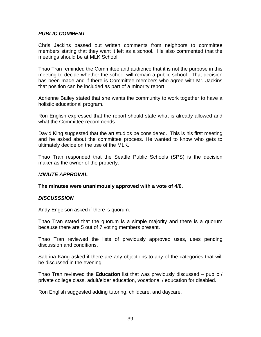#### *PUBLIC COMMENT*

Chris Jackins passed out written comments from neighbors to committee members stating that they want it left as a school. He also commented that the meetings should be at MLK School.

Thao Tran reminded the Committee and audience that it is not the purpose in this meeting to decide whether the school will remain a public school. That decision has been made and if there is Committee members who agree with Mr. Jackins that position can be included as part of a minority report.

Adrienne Bailey stated that she wants the community to work together to have a holistic educational program.

Ron English expressed that the report should state what is already allowed and what the Committee recommends.

David King suggested that the art studios be considered. This is his first meeting and he asked about the committee process. He wanted to know who gets to ultimately decide on the use of the MLK.

Thao Tran responded that the Seattle Public Schools (SPS) is the decision maker as the owner of the property.

#### *MINUTE APPROVAL*

#### **The minutes were unanimously approved with a vote of 4/0.**

#### *DISCUSSSION*

Andy Engelson asked if there is quorum.

Thao Tran stated that the quorum is a simple majority and there is a quorum because there are 5 out of 7 voting members present.

Thao Tran reviewed the lists of previously approved uses, uses pending discussion and conditions.

Sabrina Kang asked if there are any objections to any of the categories that will be discussed in the evening.

Thao Tran reviewed the **Education** list that was previously discussed – public / private college class, adult/elder education, vocational / education for disabled.

Ron English suggested adding tutoring, childcare, and daycare.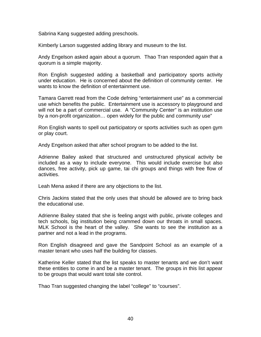Sabrina Kang suggested adding preschools.

Kimberly Larson suggested adding library and museum to the list.

Andy Engelson asked again about a quorum. Thao Tran responded again that a quorum is a simple majority.

Ron English suggested adding a basketball and participatory sports activity under education. He is concerned about the definition of community center. He wants to know the definition of entertainment use.

Tamara Garrett read from the Code defning "entertainment use" as a commercial use which benefits the public. Entertainment use is accessory to playground and will not be a part of commercial use. A "Community Center" is an institution use by a non-profit organization… open widely for the public and community use"

Ron English wants to spell out participatory or sports activities such as open gym or play court.

Andy Engelson asked that after school program to be added to the list.

Adrienne Bailey asked that structured and unstructured physical activity be included as a way to include everyone. This would include exercise but also dances, free activity, pick up game, tai chi groups and things with free flow of activities.

Leah Mena asked if there are any objections to the list.

Chris Jackins stated that the only uses that should be allowed are to bring back the educational use.

Adrienne Bailey stated that she is feeling angst with public, private colleges and tech schools, big institution being crammed down our throats in small spaces. MLK School is the heart of the valley. She wants to see the institution as a partner and not a lead in the programs.

Ron English disagreed and gave the Sandpoint School as an example of a master tenant who uses half the building for classes.

Katherine Keller stated that the list speaks to master tenants and we don't want these entities to come in and be a master tenant. The groups in this list appear to be groups that would want total site control.

Thao Tran suggested changing the label "college" to "courses".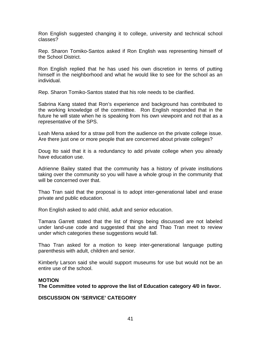Ron English suggested changing it to college, university and technical school classes?

Rep. Sharon Tomiko-Santos asked if Ron English was representing himself of the School District.

Ron English replied that he has used his own discretion in terms of putting himself in the neighborhood and what he would like to see for the school as an individual.

Rep. Sharon Tomiko-Santos stated that his role needs to be clarified.

Sabrina Kang stated that Ron's experience and background has contributed to the working knowledge of the committee. Ron English responded that in the future he will state when he is speaking from his own viewpoint and not that as a representative of the SPS.

Leah Mena asked for a straw poll from the audience on the private college issue. Are there just one or more people that are concerned about private colleges?

Doug Ito said that it is a redundancy to add private college when you already have education use.

Adrienne Bailey stated that the community has a history of private institutions taking over the community so you will have a whole group in the community that will be concerned over that.

Thao Tran said that the proposal is to adopt inter-generational label and erase private and public education.

Ron English asked to add child, adult and senior education.

Tamara Garrett stated that the list of things being discussed are not labeled under land-use code and suggested that she and Thao Tran meet to review under which categories these suggestions would fall.

Thao Tran asked for a motion to keep inter-generational language putting parenthesis with adult, children and senior.

Kimberly Larson said she would support museums for use but would not be an entire use of the school.

#### **MOTION**

**The Committee voted to approve the list of Education category 4/0 in favor.** 

**DISCUSSION ON 'SERVICE' CATEGORY**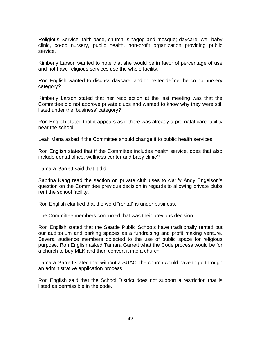Religious Service: faith-base, church, sinagog and mosque; daycare, well-baby clinic, co-op nursery, public health, non-profit organization providing public service.

Kimberly Larson wanted to note that she would be in favor of percentage of use and not have religious services use the whole facility.

Ron English wanted to discuss daycare, and to better define the co-op nursery category?

Kimberly Larson stated that her recollection at the last meeting was that the Committee did not approve private clubs and wanted to know why they were still listed under the 'business' category?

Ron English stated that it appears as if there was already a pre-natal care facility near the school.

Leah Mena asked if the Committee should change it to public health services.

Ron English stated that if the Committee includes health service, does that also include dental office, wellness center and baby clinic?

Tamara Garrett said that it did.

Sabrina Kang read the section on private club uses to clarify Andy Engelson's question on the Committee previous decision in regards to allowing private clubs rent the school facility.

Ron English clarified that the word "rental" is under business.

The Committee members concurred that was their previous decision.

Ron English stated that the Seattle Public Schools have traditionally rented out our auditorium and parking spaces as a fundraising and profit making venture. Several audience members objected to the use of public space for religious purpose. Ron English asked Tamara Garrett what the Code process would be for a church to buy MLK and then convert it into a church.

Tamara Garrett stated that without a SUAC, the church would have to go through an administrative application process.

Ron English said that the School District does not support a restriction that is listed as permissible in the code.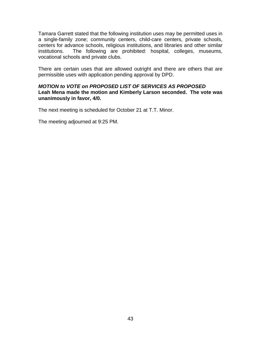Tamara Garrett stated that the following institution uses may be permitted uses in a single-family zone; community centers, child-care centers, private schools, centers for advance schools, religious institutions, and libraries and other similar institutions. The following are prohibited: hospital, colleges, museums, vocational schools and private clubs.

There are certain uses that are allowed outright and there are others that are permissible uses with application pending approval by DPD.

#### *MOTION to VOTE on PROPOSED LIST OF SERVICES AS PROPOSED*  **Leah Mena made the motion and Kimberly Larson seconded. The vote was unanimously in favor, 4/0.**

The next meeting is scheduled for October 21 at T.T. Minor.

The meeting adjourned at 9:25 PM.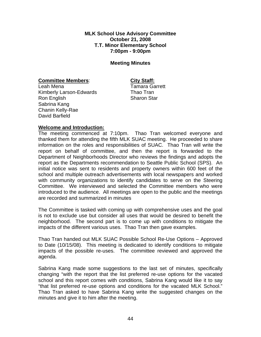**MLK School Use Advisory Committee October 21, 2008 T.T. Minor Elementary School 7:00pm - 9:00pm** 

#### **Meeting Minutes**

#### **Committee Members:** City Staff:

Leah Mena Tamara Garrett Kimberly Larson-Edwards Thao Tran Ron English Sharon Star Sabrina Kang Chanin Kelly-Rae David Barfield

#### **Welcome and Introduction:**

The meeting commenced at 7:10pm. Thao Tran welcomed everyone and thanked them for attending the fifth MLK SUAC meeting. He proceeded to share information on the roles and responsibilities of SUAC. Thao Tran will write the report on behalf of committee, and then the report is forwarded to the Department of Neighborhoods Director who reviews the findings and adopts the report as the Departments recommendation to Seattle Public School (SPS). An initial notice was sent to residents and property owners within 600 feet of the school and multiple outreach advertisements with local newspapers and worked with community organizations to identify candidates to serve on the Steering Committee. We interviewed and selected the Committee members who were introduced to the audience. All meetings are open to the public and the meetings are recorded and summarized in minutes

The Committee is tasked with coming up with comprehensive uses and the goal is not to exclude use but consider all uses that would be desired to benefit the neighborhood. The second part is to come up with conditions to mitigate the impacts of the different various uses. Thao Tran then gave examples.

Thao Tran handed out MLK SUAC Possible School Re-Use Options – Approved to Date (10/15/08). This meeting is dedicated to identify conditions to mitigate impacts of the possible re-uses. The committee reviewed and approved the agenda.

Sabrina Kang made some suggestions to the last set of minutes, specifically changing "with the report that the list preferred re-use options for the vacated school and this report comes with conditions, Sabrina Kang would like it to say "that list preferred re-use options and conditions for the vacated MLK School." Thao Tran asked to have Sabrina Kang write the suggested changes on the minutes and give it to him after the meeting.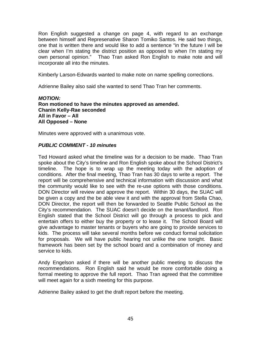Ron English suggested a change on page 4, with regard to an exchange between himself and Represenative Sharon Tomiko Santos. He said two things, one that is written there and would like to add a sentence "in the future I will be clear when I'm stating the district position as opposed to when I'm stating my own personal opinion." Thao Tran asked Ron English to make note and will incorporate all into the minutes.

Kimberly Larson-Edwards wanted to make note on name spelling corrections.

Adrienne Bailey also said she wanted to send Thao Tran her comments.

#### *MOTION:*  **Ron motioned to have the minutes approved as amended. Chanin Kelly-Rae seconded All in Favor – All All Opposed – None**

Minutes were approved with a unanimous vote.

#### *PUBLIC COMMENT - 10 minutes*

Ted Howard asked what the timeline was for a decision to be made. Thao Tran spoke about the City's timeline and Ron English spoke about the School District's timeline. The hope is to wrap up the meeting today with the adoption of conditions. After the final meeting, Thao Tran has 30 days to write a report. The report will be comprehensive and technical information with discussion and what the community would like to see with the re-use options with those conditions. DON Director will review and approve the report. Within 30 days, the SUAC will be given a copy and the be able view it and with the approval from Stella Chao, DON Director, the report will then be forwarded to Seattle Public School as the City's recommendation. The SUAC doesn't decide on the tenant/landlord. Ron English stated that the School District will go through a process to pick and entertain offers to either buy the property or to lease it. The School Board will give advantage to master tenants or buyers who are going to provide services to kids. The process will take several months before we conduct formal solicitation for proposals. We will have public hearing not unlike the one tonight. Basic framework has been set by the school board and a combination of money and service to kids.

Andy Engelson asked if there will be another public meeting to discuss the recommendations. Ron English said he would be more comfortable doing a formal meeting to approve the full report. Thao Tran agreed that the committee will meet again for a sixth meeting for this purpose.

Adrienne Bailey asked to get the draft report before the meeting.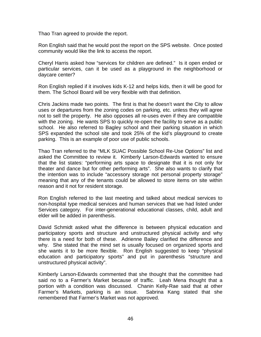Thao Tran agreed to provide the report.

Ron English said that he would post the report on the SPS website. Once posted community would like the link to access the report.

Cheryl Harris asked how "services for children are defined." Is it open ended or particular services, can it be used as a playground in the neighborhood or daycare center?

Ron English replied if it involves kids K-12 and helps kids, then it will be good for them. The School Board will be very flexible with that definition.

Chris Jackins made two points. The first is that he doesn't want the City to allow uses or departures from the zoning codes on parking, etc. unless they will agree not to sell the property. He also opposes all re-uses even if they are compatible with the zoning. He wants SPS to quickly re-open the facility to serve as a public school. He also referred to Bagley school and their parking situation in which SPS expanded the school site and took 25% of the kid's playground to create parking. This is an example of poor use of public schools.

Thao Tran referred to the "MLK SUAC Possible School Re-Use Options" list and asked the Committee to review it. Kimberly Larson-Edwards wanted to ensure that the list states: "performing arts space to designate that it is not only for theater and dance but for other performing arts". She also wants to clarify that the intention was to include "accessory storage not personal property storage" meaning that any of the tenants could be allowed to store items on site within reason and it not for resident storage.

Ron English referred to the last meeting and talked about medical services to non-hospital type medical services and human services that we had listed under Services category. For inter-generational educational classes, child, adult and elder will be added in parenthesis.

David Schmidt asked what the difference is between physical education and participatory sports and structure and unstructured physical activity and why there is a need for both of these. Adrienne Bailey clarified the difference and why. She stated that the mind set is usually focused on organized sports and she wants it to be more flexible. Ron English suggested to keep "physical education and participatory sports" and put in parenthesis "structure and unstructured physical activity".

Kimberly Larson-Edwards commented that she thought that the committee had said no to a Farmer's Market because of traffic. Leah Mena thought that a portion with a condition was discussed. Chanin Kelly-Rae said that at other Farmer's Markets, parking is an issue. Sabrina Kang stated that she remembered that Farmer's Market was not approved.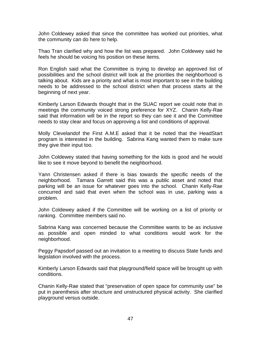John Coldewey asked that since the committee has worked out priorities, what the community can do here to help.

Thao Tran clarified why and how the list was prepared. John Coldewey said he feels he should be voicing his position on these items.

Ron English said what the Committee is trying to develop an approved list of possibilities and the school district will look at the priorities the neighborhood is talking about. Kids are a priority and what is most important to see in the building needs to be addressed to the school district when that process starts at the beginning of next year.

Kimberly Larson Edwards thought that in the SUAC report we could note that in meetings the community voiced strong preference for XYZ. Chanin Kelly-Rae said that information will be in the report so they can see it and the Committee needs to stay clear and focus on approving a list and conditions of approval.

Molly Clevelandof the First A.M.E asked that it be noted that the HeadStart program is interested in the building. Sabrina Kang wanted them to make sure they give their input too.

John Coldewey stated that having something for the kids is good and he would like to see it move beyond to benefit the neighborhood.

Yann Christensen asked if there is bias towards the specific needs of the neighborhood. Tamara Garrett said this was a public asset and noted that parking will be an issue for whatever goes into the school. Chanin Kelly-Rae concurred and said that even when the school was in use, parking was a problem.

John Coldewey asked if the Committee will be working on a list of priority or ranking. Committee members said no.

Sabrina Kang was concerned because the Committee wants to be as inclusive as possible and open minded to what conditions would work for the neighborhood.

Peggy Papsdorf passed out an invitation to a meeting to discuss State funds and legislation involved with the process.

Kimberly Larson Edwards said that playground/field space will be brought up with conditions.

Chanin Kelly-Rae stated that "preservation of open space for community use" be put in parenthesis after structure and unstructured physical activity. She clarified playground versus outside.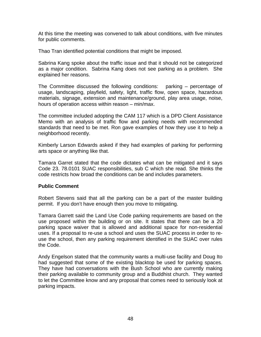At this time the meeting was convened to talk about conditions, with five minutes for public comments.

Thao Tran identified potential conditions that might be imposed.

Sabrina Kang spoke about the traffic issue and that it should not be categorized as a major condition. Sabrina Kang does not see parking as a problem. She explained her reasons.

The Committee discussed the following conditions: parking – percentage of usage, landscaping, playfield, safety, light, traffic flow, open space, hazardous materials, signage, extension and maintenance/ground, play area usage, noise, hours of operation access within reason – min/max.

The committee included adopting the CAM 117 which is a DPD Client Assistance Memo with an analysis of traffic flow and parking needs with recommended standards that need to be met. Ron gave examples of how they use it to help a neighborhood recently.

Kimberly Larson Edwards asked if they had examples of parking for performing arts space or anything like that.

Tamara Garret stated that the code dictates what can be mitigated and it says Code 23. 78.0101 SUAC responsibilities, sub C which she read. She thinks the code restricts how broad the conditions can be and includes parameters.

#### **Public Comment**

Robert Stevens said that all the parking can be a part of the master building permit. If you don't have enough then you move to mitigating.

Tamara Garrett said the Land Use Code parking requirements are based on the use proposed within the building or on site. It states that there can be a 20 parking space waiver that is allowed and additional space for non-residential uses. If a proposal to re-use a school and uses the SUAC process in order to reuse the school, then any parking requirement identified in the SUAC over rules the Code.

Andy Engelson stated that the community wants a multi-use facility and Doug Ito had suggested that some of the existing blacktop be used for parking spaces. They have had conversations with the Bush School who are currently making their parking available to community group and a Buddhist church. They wanted to let the Committee know and any proposal that comes need to seriously look at parking impacts.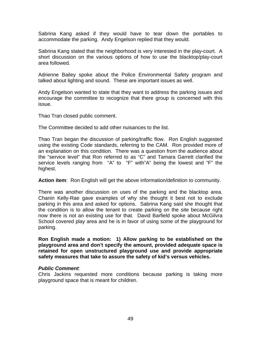Sabrina Kang asked if they would have to tear down the portables to accommodate the parking. Andy Engelson replied that they would.

Sabrina Kang stated that the neighborhood is very interested in the play-court. A short discussion on the various options of how to use the blacktop/play-court area followed.

Adrienne Bailey spoke about the Police Environmental Safety program and talked about lighting and sound. These are important issues as well.

Andy Engelson wanted to state that they want to address the parking issues and encourage the committee to recognize that there group is concerned with this issue.

Thao Tran closed public comment.

The Committee decided to add other nuisances to the list.

Thao Tran began the discussion of parking/traffic flow. Ron English suggested using the existing Code standards, referring to the CAM. Ron provided more of an explanation on this condition. There was a question from the audience about the "service level" that Ron referred to as "C" and Tamara Garrett clarified the service levels ranging from "A" to "F" with"A" being the lowest and "F" the highest.

**Action item**: Ron English will get the above information/definition to community.

There was another discussion on uses of the parking and the blacktop area. Chanin Kelly-Rae gave examples of why she thought it best not to exclude parking in this area and asked for options. Sabrina Kang said she thought that the condition is to allow the tenant to create parking on the site because right now there is not an existing use for that. David Barfield spoke about McGilvra School covered play area and he is in favor of using some of the playground for parking.

**Ron English made a motion: 1) Allow parking to be established on the playground area and don't specify the amount, provided adequate space is retained for open unstructured playground use and provide appropriate safety measures that take to assure the safety of kid's versus vehicles.** 

#### *Public Comment:*

Chris Jackins requested more conditions because parking is taking more playground space that is meant for children.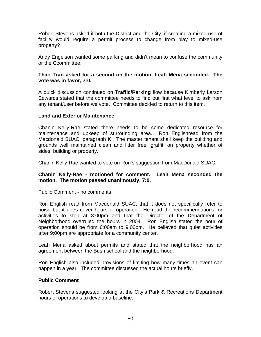Robert Stevens asked if both the District and the City, if creating a mixed-use of facility would require a permit process to change from play to mixed-use property?

Andy Engelson wanted some parking and didn't mean to confuse the community or the Ccommittee.

#### **Thao Tran asked for a second on the motion, Leah Mena seconded. The vote was in favor, 7:0.**

A quick discussion continued on **Traffic/Parking** flow because Kimberly Larson Edwards stated that the committee needs to find out first what level to ask from any tenant/user before we vote. Committee decided to return to this item.

#### **Land and Exterior Maintenance**

Chanin Kelly-Rae stated there needs to be some dedicated resource for maintenance and upkeep of surrounding area. Ron Englishread from the Macdonald SUAC, paragraph K. The master tenant shall keep the building and grounds well maintained clean and litter free, graffiti on property whether of sides, building or property.

Chanin Kelly-Rae wanted to vote on Ron's suggestion from MacDonald SUAC.

#### **Chanin Kelly-Rae - motioned for comment. Leah Mena seconded the motion. The motion passed unanimously, 7:0.**

Public Comment - no comments

Ron English read from Macdonald SUAC, that it does not specifically refer to noise but it does cover hours of operation. He read the recommendations for activities to stop at 8:00pm and that the Director of the Department of Neighborhood overruled the hours in 2004. Ron English stated the hour of operation should be from 6:00am to 9:00pm. He believed that quiet activities after 9:00pm are appropriate for a community center.

Leah Mena asked about permits and stated that the neighborhood has an agreement between the Bush school and the neighborhood.

Ron English also included provisions of limiting how many times an event can happen in a year. The committee discussed the actual hours briefly.

#### **Public Comment**

Robert Stevens suggested looking at the City's Park & Recreations Department hours of operations to develop a baseline.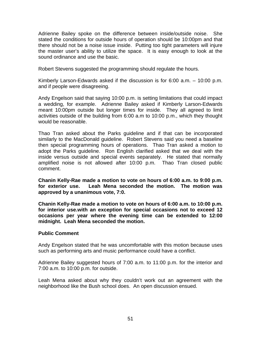Adrienne Bailey spoke on the difference between inside/outside noise. She stated the conditions for outside hours of operation should be 10:00pm and that there should not be a noise issue inside. Putting too tight parameters will injure the master user's ability to utilize the space. It is easy enough to look at the sound ordinance and use the basic.

Robert Stevens suggested the programming should regulate the hours.

Kimberly Larson-Edwards asked if the discussion is for 6:00 a.m. – 10:00 p.m. and if people were disagreeing.

Andy Engelson said that saying 10:00 p.m. is setting limitations that could impact a wedding, for example. Adrienne Bailey asked if Kimberly Larson-Edwards meant 10:00pm outside but longer times for inside. They all agreed to limit activities outside of the building from 6:00 a.m to 10:00 p.m., which they thought would be reasonable.

Thao Tran asked about the Parks guideline and if that can be incorporated similarly to the MacDonald guideline. Robert Stevens said you need a baseline then special programming hours of operations. Thao Tran asked a motion to adopt the Parks guideline. Ron English clarified asked that we deal with the inside versus outside and special events separately. He stated that normally amplified noise is not allowed after 10:00 p.m. Thao Tran closed public comment.

**Chanin Kelly-Rae made a motion to vote on hours of 6:00 a.m. to 9:00 p.m. for exterior use. Leah Mena seconded the motion. The motion was approved by a unanimous vote, 7:0.** 

**Chanin Kelly-Rae made a motion to vote on hours of 6:00 a.m. to 10:00 p.m. for interior use.with an exception for special occasions not to exceed 12 occasions per year where the evening time can be extended to 12:00 midnight. Leah Mena seconded the motion.** 

#### **Public Comment**

Andy Engelson stated that he was uncomfortable with this motion because uses such as performing arts and music performance could have a conflict.

Adrienne Bailey suggested hours of 7:00 a.m. to 11:00 p.m. for the interior and 7:00 a.m. to 10:00 p.m. for outside.

Leah Mena asked about why they couldn't work out an agreement with the neighborhood like the Bush school does. An open discussion ensued.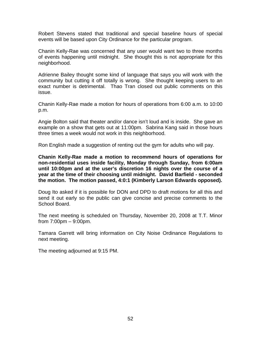Robert Stevens stated that traditional and special baseline hours of special events will be based upon City Ordinance for the particular program.

Chanin Kelly-Rae was concerned that any user would want two to three months of events happening until midnight. She thought this is not appropriate for this neighborhood.

Adrienne Bailey thought some kind of language that says you will work with the community but cutting it off totally is wrong. She thought keeping users to an exact number is detrimental. Thao Tran closed out public comments on this issue.

Chanin Kelly-Rae made a motion for hours of operations from 6:00 a.m. to 10:00 p.m.

Angie Bolton said that theater and/or dance isn't loud and is inside. She gave an example on a show that gets out at 11:00pm. Sabrina Kang said in those hours three times a week would not work in this neighborhood.

Ron English made a suggestion of renting out the gym for adults who will pay.

**Chanin Kelly-Rae made a motion to recommend hours of operations for non-residential uses inside facility, Monday through Sunday, from 6:00am until 10:00pm and at the user's discretion 16 nights over the course of a year at the time of their choosing until midnight. David Barfield - seconded the motion. The motion passed, 4:0:1 (Kimberly Larson Edwards opposed).** 

Doug Ito asked if it is possible for DON and DPD to draft motions for all this and send it out early so the public can give concise and precise comments to the School Board.

The next meeting is scheduled on Thursday, November 20, 2008 at T.T. Minor from 7:00pm – 9:00pm.

Tamara Garrett will bring information on City Noise Ordinance Regulations to next meeting.

The meeting adjourned at 9:15 PM.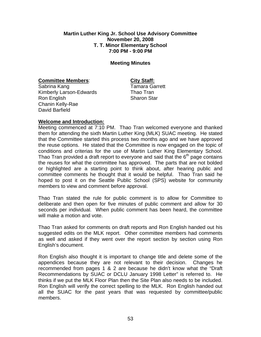#### **Martin Luther King Jr. School Use Advisory Committee November 20, 2008 T. T. Minor Elementary School 7:00 PM - 9:00 PM**

#### **Meeting Minutes**

#### **Committee Members: City Staff:**

Sabrina Kang Tamara Garrett Kimberly Larson-Edwards Thao Tran Ron English Sharon Star Chanin Kelly-Rae David Barfield

#### **Welcome and Introduction:**

Meeting commenced at 7:10 PM. Thao Tran welcomed everyone and thanked them for attending the sixth Martin Luther King (MLK) SUAC meeting. He stated that the Committee started this process two months ago and we have approved the reuse options. He stated that the Committee is now engaged on the topic of conditions and criterias for the use of Martin Luther King Elementary School. Thao Tran provided a draft report to everyone and said that the  $6<sup>th</sup>$  page contains the reuses for what the committee has approved. The parts that are not bolded or highlighted are a starting point to think about, after hearing public and committee comments he thought that it would be helpful. Thao Tran said he hoped to post it on the Seattle Public School (SPS) website for community members to view and comment before approval.

Thao Tran stated the rule for public comment is to allow for Committee to deliberate and then open for five minutes of public comment and allow for 30 seconds per individual. When public comment has been heard, the committee will make a motion and vote.

Thao Tran asked for comments on draft reports and Ron English handed out his suggested edits on the MLK report. Other committee members had comments as well and asked if they went over the report section by section using Ron English's document.

Ron English also thought it is important to change title and delete some of the appendices because they are not relevant to their decision. Changes he recommended from pages 1 & 2 are because he didn't know what the "Draft Recommendations by SUAC or DCLU January 1998 Letter" is referred to. He thinks if we put the MLK Floor Plan then the Site Plan also needs to be included. Ron English will verify the correct spelling to the MLK. Ron English handed out all the SUAC for the past years that was requested by committee/public members.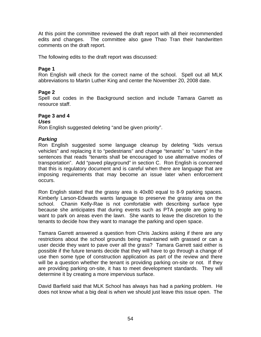At this point the committee reviewed the draft report with all their recommended edits and changes. The committee also gave Thao Tran their handwritten comments on the draft report.

The following edits to the draft report was discussed:

#### **Page 1**

Ron English will check for the correct name of the school. Spell out all MLK abbreviations to Martin Luther King and center the November 20, 2008 date.

#### **Page 2**

Spell out codes in the Background section and include Tamara Garrett as resource staff.

#### **Page 3 and 4**

#### *Uses*

Ron English suggested deleting "and be given priority".

#### *Parking*

Ron English suggested some language cleanup by deleting "kids versus vehicles" and replacing it to "pedestrians" and change "tenants" to "users" in the sentences that reads "tenants shall be encouraged to use alternative modes of transportation". Add "paved playground" in section C. Ron English is concerned that this is regulatory document and is careful when there are language that are imposing requirements that may become an issue later when enforcement occurs.

Ron English stated that the grassy area is 40x80 equal to 8-9 parking spaces. Kimberly Larson-Edwards wants language to preserve the grassy area on the school. Chanin Kelly-Rae is not comfortable with describing surface type because she anticipates that during events such as PTA people are going to want to park on areas even the lawn. She wants to leave the discretion to the tenants to decide how they want to manage the parking and open space.

Tamara Garrett answered a question from Chris Jackins asking if there are any restrictions about the school grounds being maintained with grassed or can a user decide they want to pave over all the grass? Tamara Garrett said either is possible if the future tenants decide that they will have to go through a change of use then some type of construction application as part of the review and there will be a question whether the tenant is providing parking on-site or not. If they are providing parking on-site, it has to meet development standards. They will determine it by creating a more impervious surface.

David Barfield said that MLK School has always has had a parking problem. He does not know what a big deal is when we should just leave this issue open. The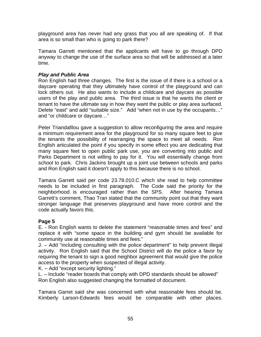playground area has never had any grass that you all are speaking of. If that area is so small than who is going to park there?

Tamara Garrett mentioned that the applicants will have to go through DPD anyway to change the use of the surface area so that will be addressed at a later time.

#### *Play and Public Area*

Ron English had three changes. The first is the issue of if there is a school or a daycare operating that they ultimately have control of the playground and can lock others out. He also wants to include a childcare and daycare as possible users of the play and public area. The third issue is that he wants the client or tenant to have the ultimate say in how they want the public or play area surfaced. Delete "east" and add "suitable size." Add "when not in use by the occupants…" and "or childcare or daycare…"

Peter Triandafilou gave a suggestion to allow reconfiguring the area and require a minimum requirement area for the playground for so many square feet to give the tenants the possibility of rearranging the space to meet all needs. Ron English articulated the point if you specify in some effect you are dedicating that many square feet to open public park use, you are converting into public and Parks Department is not willing to pay for it. You will essentially change from school to park. Chris Jackins brought up a joint use between schools and parks and Ron English said it doesn't apply to this because there is no school.

Tamara Garrett said per code 23.78.010.C which she read to help committee needs to be included in first paragraph. The Code said the priority for the neighborhood is encouraged rather than the SPS. After hearing Tamara Garrett's comment, Thao Tran stated that the community point out that they want stronger language that preserves playground and have more control and the code actually favors this.

#### **Page 5**

E. - Ron English wants to delete the statement "reasonable times and fees" and replace it with "some space in the building and gym should be available for community use at reasonable times and fees."

J. – Add "including consulting with the police department" to help prevent illegal activity. Ron English said that the School District will do the police a favor by requiring the tenant to sign a good neighbor agreement that would give the police access to the property when suspected of illegal activity.

K. – Add "except security lighting."

L. – Include "reader boards that comply with DPD standards should be allowed" Ron English also suggested changing the formatted of document.

Tamara Garret said she was concerned with what reasonable fees should be. Kimberly Larson-Edwards fees would be comparable with other places.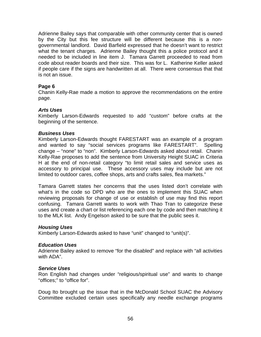Adrienne Bailey says that comparable with other community center that is owned by the City but this fee structure will be different because this is a nongovernmental landlord. David Barfield expressed that he doesn't want to restrict what the tenant charges. Adrienne Bailey thought this a police protocol and it needed to be included in line item J. Tamara Garrett proceeded to read from code about reader boards and their size. This was for L. Katherine Keller asked if people care if the signs are handwritten at all. There were consensus that that is not an issue.

#### **Page 6**

Chanin Kelly-Rae made a motion to approve the recommendations on the entire page.

#### *Arts Uses*

Kimberly Larson-Edwards requested to add "custom" before crafts at the beginning of the sentence.

#### *Business Uses*

Kimberly Larson-Edwards thought FARESTART was an example of a program and wanted to say "social services programs like FARESTART". Spelling change – "none" to "non". Kimberly Larson-Edwards asked about retail. Chanin Kelly-Rae proposes to add the sentence from University Height SUAC in Criteria H at the end of non-retail category "to limit retail sales and service uses as accessory to principal use. These accessory uses may include but are not limited to outdoor cares, coffee shops, arts and crafts sales, flea markets."

Tamara Garrett states her concerns that the uses listed don't correlate with what's in the code so DPD who are the ones to implement this SUAC when reviewing proposals for change of use or establish of use may find this report confusing. Tamara Garrett wants to work with Thao Tran to categorize these uses and create a chart or list referencing each one by code and then matching it to the MLK list. Andy Engelson asked to be sure that the public sees it.

#### *Housing Uses*

Kimberly Larson-Edwards asked to have "unit" changed to "unit(s)".

#### *Education Uses*

Adrienne Bailey asked to remove "for the disabled" and replace with "all activities with ADA".

#### *Service Uses*

Ron English had changes under "religious/spiritual use" and wants to change "offices;" to "office for".

Doug Ito brought up the issue that in the McDonald School SUAC the Advisory Committee excluded certain uses specifically any needle exchange programs